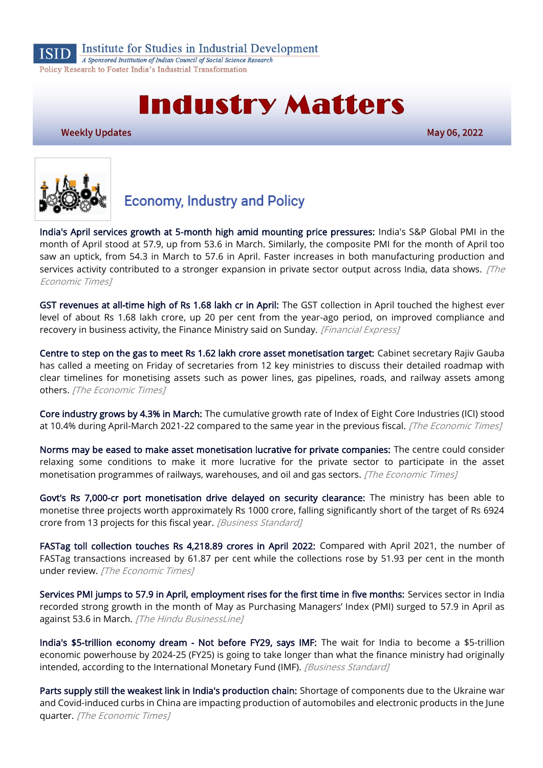

Institute for Studies in Industrial Development

A Sponsored Institution of Indian Council of Social Science Research Policy Research to Foster India's Industrial Transformation

# **Industry Matters**

**Weekly Updates** 

May 06, 2022



# **Economy, Industry and Policy**

[India's April services growth at 5-month high amid mounting price pressures:](https://economictimes.indiatimes.com/news/economy/indicators/indias-april-services-growth-at-5-month-high-amid-mounting-price-pressures/articleshow/91335650.cms) India's S&P Global PMI in the month of April stood at 57.9, up from 53.6 in March. Similarly, the composite PMI for the month of April too saw an uptick, from 54.3 in March to 57.6 in April. Faster increases in both manufacturing production and services activity contributed to a stronger expansion in private sector output across India, data shows.  $\int$ *The* Economic Times]

[GST revenues at all-time high of Rs 1.68 lakh cr in April:](https://www.financialexpress.com/economy/gst-revenues-at-all-time-high-of-rs-1-68-lakh-cr-in-april/2509362/) The GST collection in April touched the highest ever level of about Rs 1.68 lakh crore, up 20 per cent from the year-ago period, on improved compliance and recovery in business activity, the Finance Ministry said on Sunday. [Financial Express]

[Centre to step on the gas to meet Rs 1.62 lakh crore asset monetisation target:](https://economictimes.indiatimes.com/news/economy/finance/centre-to-step-on-the-gas-to-meet-rs-1-62-lakh-crore-asset-monetisation-target/articleshow/91164852.cms) Cabinet secretary Rajiv Gauba has called a meeting on Friday of secretaries from 12 key ministries to discuss their detailed roadmap with clear timelines for monetising assets such as power lines, gas pipelines, roads, and railway assets among others. [The Economic Times]

[Core industry grows by 4.3% in March:](https://economictimes.indiatimes.com/news/economy/indicators/core-industry-grows-by-4-3-in-march/articleshow/91181379.cms) The cumulative growth rate of Index of Eight Core Industries (ICI) stood at 10.4% during April-March 2021-22 compared to the same year in the previous fiscal. [The Economic Times]

[Norms may be eased to make asset monetisation lucrative for private companies:](https://economictimes.indiatimes.com/news/economy/finance/norms-may-be-eased-to-make-asset-monetisation-lucrative-for-private-companies/articleshow/91195954.cms) The centre could consider relaxing some conditions to make it more lucrative for the private sector to participate in the asset monetisation programmes of railways, warehouses, and oil and gas sectors. [The Economic Times]

[Govt's Rs 7,000-cr port monetisation drive delayed on security clearance:](https://www.business-standard.com/article/economy-policy/govt-s-rs-7-000-cr-port-monetisation-drive-delayed-on-security-clearance-122050301110_1.html) The ministry has been able to monetise three projects worth approximately Rs 1000 crore, falling significantly short of the target of Rs 6924 crore from 13 projects for this fiscal year. [Business Standard]

[FASTag toll collection touches Rs 4,218.89 crores in April 2022:](https://economictimes.indiatimes.com/news/economy/indicators/fastag-toll-collection-touches-rs-4218-89-crores-in-april-2022/articleshow/91319880.cms) Compared with April 2021, the number of FASTag transactions increased by 61.87 per cent while the collections rose by 51.93 per cent in the month under review. [The Economic Times]

[Services PMI jumps to 57.9 in April, employment rises for the first time in five months:](https://www.thehindubusinessline.com/economy/services-pmi-jumps-to-579-in-april-employment-rises-for-the-first-time-in-five-months/article65383966.ece) Services sector in India recorded strong growth in the month of May as Purchasing Managers' Index (PMI) surged to 57.9 in April as against 53.6 in March. [The Hindu BusinessLine]

[India's \\$5-trillion economy dream - Not before FY29, says IMF:](https://www.business-standard.com/article/economy-policy/india-s-5-trillion-economy-dream-not-before-fy29-says-imf-122050300020_1.html) The wait for India to become a \$5-trillion economic powerhouse by 2024-25 (FY25) is going to take longer than what the finance ministry had originally intended, according to the International Monetary Fund (IMF). [Business Standard]

[Parts supply still the weakest link in India's production chain:](https://economictimes.indiatimes.com/industry/cons-products/electronics/parts-supply-still-the-weakest-link-in-indias-production-chain/articleshow/91274142.cms) Shortage of components due to the Ukraine war and Covid-induced curbs in China are impacting production of automobiles and electronic products in the June quarter. [The Economic Times]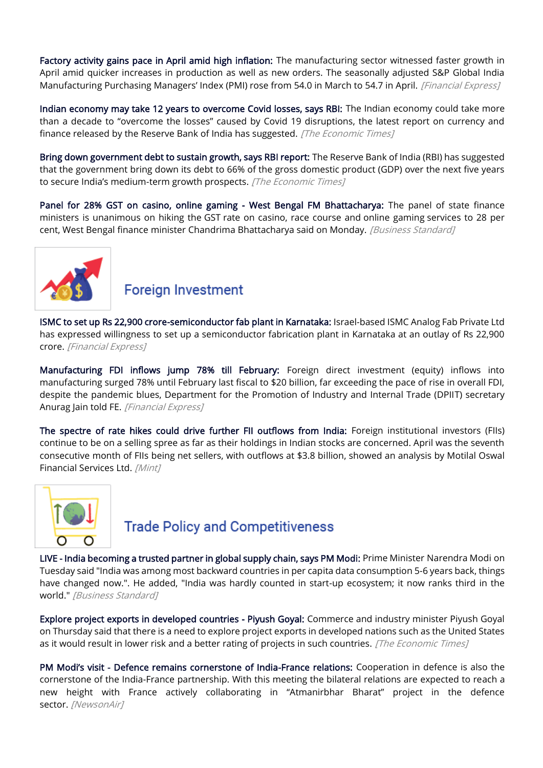[Factory activity gains pace in April amid high inflation:](https://www.financialexpress.com/economy/factory-activity-gains-pace-in-april-amid-high-inflation/2511017/) The manufacturing sector witnessed faster growth in April amid quicker increases in production as well as new orders. The seasonally adjusted S&P Global India Manufacturing Purchasing Managers' Index (PMI) rose from 54.0 in March to 54.7 in April. [Financial Express]

[Indian economy may take 12 years to overcome Covid losses, says RBI:](https://economictimes.indiatimes.com/news/economy/policy/indian-economy-may-take-12-years-to-overcome-covid-losses-says-rbi/videoshow/91187616.cms) The Indian economy could take more than a decade to "overcome the losses" caused by Covid 19 disruptions, the latest report on currency and finance released by the Reserve Bank of India has suggested. [The Economic Times]

[Bring down government debt to sustain growth, says RBI report:](https://economictimes.indiatimes.com/news/economy/policy/bring-down-government-debt-to-sustain-growth-says-rbi-report/articleshow/91183229.cms) The Reserve Bank of India (RBI) has suggested that the government bring down its debt to 66% of the gross domestic product (GDP) over the next five years to secure India's medium-term growth prospects. [The Economic Times]

[Panel for 28% GST on casino, online gaming - West Bengal FM Bhattacharya:](https://www.business-standard.com/article/economy-policy/panel-for-28-gst-on-casino-online-gaming-west-bengal-fm-bhattacharya-122050300031_1.html) The panel of state finance ministers is unanimous on hiking the GST rate on casino, race course and online gaming services to 28 per cent, West Bengal finance minister Chandrima Bhattacharya said on Monday. [Business Standard]



# **Foreign Investment**

[ISMC to set up Rs 22,900 crore-semiconductor fab plant in Karnataka:](https://www.financialexpress.com/industry/ismc-to-set-up-rs-22900-crore-semiconductor-fab-plant-in-karnataka/2509471/) Israel-based ISMC Analog Fab Private Ltd has expressed willingness to set up a semiconductor fabrication plant in Karnataka at an outlay of Rs 22,900 crore. [Financial Express]

[Manufacturing FDI inflows jump 78% till February:](https://www.financialexpress.com/economy/manufacturing-fdi-inflows-jump-78-till-february/2509720/) Foreign direct investment (equity) inflows into manufacturing surged 78% until February last fiscal to \$20 billion, far exceeding the pace of rise in overall FDI, despite the pandemic blues, Department for the Promotion of Industry and Internal Trade (DPIIT) secretary Anurag Jain told FE. [Financial Express]

[The spectre of rate hikes could drive further FII outflows from India:](https://www.livemint.com/market/mark-to-market/the-spectre-of-rate-hikes-could-drive-further-fii-outflows-from-india-11651560094550.html) Foreign institutional investors (FIIs) continue to be on a selling spree as far as their holdings in Indian stocks are concerned. April was the seventh consecutive month of FIIs being net sellers, with outflows at \$3.8 billion, showed an analysis by Motilal Oswal Financial Services Ltd. [Mint]



# **Trade Policy and Competitiveness**

[LIVE - India becoming a trusted partner in global supply chain, says PM Modi:](https://www.business-standard.com/article/current-affairs/live-news-updates-russia-ukraine-conflict-pm-modi-visit-to-germany-ntagi-covovax-corbevax-covid-vaccine-data-3-may-2022-122050300073_1.html) Prime Minister [Narendra Modi](https://www.business-standard.com/topic/narendra-modi) on Tuesday said "India was among most backward countries in per capita data consumption 5-6 years back, things have changed now.". He added, "India was hardly counted in start-up ecosystem; it now ranks third in the world." [Business Standard]

[Explore project exports in developed countries - Piyush Goyal:](https://economictimes.indiatimes.com/news/economy/foreign-trade/explore-project-exports-in-developed-countries-piyush-goyal/articleshow/91353773.cms) Commerce and industry minister Piyush Goyal on Thursday said that there is a need to explore project exports in developed nations such as the United States as it would result in lower risk and a better rating of projects in such countries. [The Economic Times]

PM Modi's visit [- Defence remains cornerstone of India-France relations:](https://newsonair.com/2022/05/04/pm-modis-visit-defence-remains-cornerstone-of-india-france-relations/) Cooperation in defence is also the cornerstone of the India-France partnership. With this meeting the bilateral relations are expected to reach a new height with France actively collaborating in "Atmanirbhar Bharat" project in the defence sector. [NewsonAir]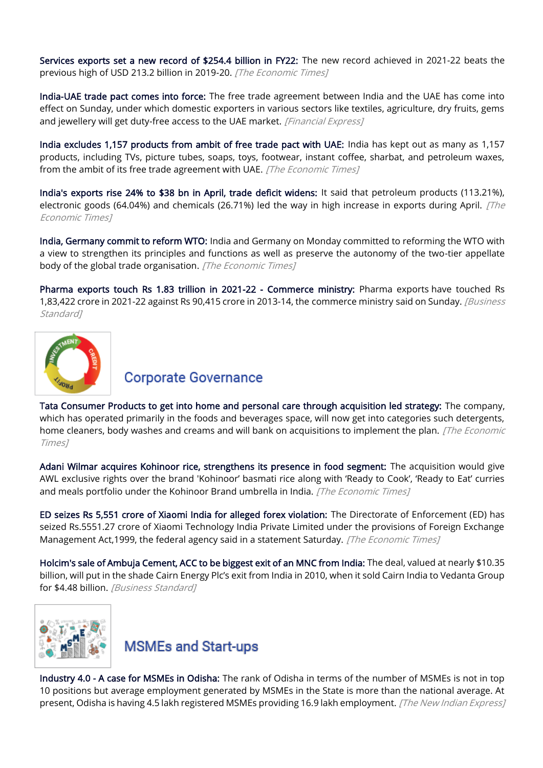[Services exports set a new record of \\$254.4 billion in FY22:](https://economictimes.indiatimes.com/news/economy/indicators/services-exports-set-a-new-record-of-254-4-billion-in-fy22/articleshow/91316648.cms) The new record achieved in 2021-22 beats the previous high of USD 213.2 billion in 2019-20. [The Economic Times]

[India-UAE trade pact comes into force:](https://www.financialexpress.com/economy/india-uae-trade-pact-comes-into-force/2509408/) The free trade agreement between India and the UAE has come into effect on Sunday, under which domestic exporters in various sectors like textiles, agriculture, dry fruits, gems and jewellery will get duty-free access to the UAE market. [Financial Express]

[India excludes 1,157 products from ambit of free trade pact with UAE:](https://economictimes.indiatimes.com/news/economy/foreign-trade/india-excludes-1157-products-from-ambit-of-free-trade-pact-with-uae/articleshow/91316982.cms) India has kept out as many as 1,157 products, including TVs, picture tubes, soaps, toys, footwear, instant coffee, sharbat, and petroleum waxes, from the ambit of its free trade agreement with UAE. [The Economic Times]

[India's exports rise 24% to \\$38 bn in April, trade deficit widens:](https://economictimes.indiatimes.com/news/economy/foreign-trade/indias-exports-rise-24-to-38-bn-in-april/articleshow/91285261.cms) It said that petroleum products (113.21%), electronic goods (64.04%) and chemicals (26.71%) led the way in high increase in exports during April.  $\sqrt{The}$ Economic Times]

[India, Germany commit to reform WTO:](https://economictimes.indiatimes.com/news/economy/foreign-trade/india-germany-commit-to-reform-wto/articleshow/91268427.cms) India and Germany on Monday committed to reforming the WTO with a view to strengthen its principles and functions as well as preserve the autonomy of the two-tier appellate body of the global trade organisation. [The Economic Times]

[Pharma exports touch Rs 1.83 trillion in 2021-22 - Commerce ministry:](https://www.business-standard.com/article/economy-policy/pharma-exports-touch-rs-1-83-trillion-in-2021-22-commerce-ministry-122050100288_1.html) Pharma exports have touched Rs 1,83,422 crore in 2021-22 against Rs 90,415 crore in 2013-14, the commerce ministry said on Sunday. [Business Standard]



#### **Corporate Governance**

[Tata Consumer Products to get into home and personal care through acquisition led strategy:](https://economictimes.indiatimes.com/industry/cons-products/fmcg/tata-consumer-products-to-get-into-home-and-personal-care-through-acquisition-led-strategy/articleshow/91324299.cms) The company, which has operated primarily in the foods and beverages space, will now get into categories such detergents, home cleaners, body washes and creams and will bank on acquisitions to implement the plan. [The Economic Times]

[Adani Wilmar acquires Kohinoor rice, strengthens its presence in food segment:](https://economictimes.indiatimes.com/industry/cons-products/food/adani-wilmar-acquires-kohinoor-rice-strengthens-its-presence-in-food-segment/articleshow/91280348.cms) The acquisition would give AWL exclusive rights over the brand 'Kohinoor' basmati rice along with 'Ready to Cook', 'Ready to Eat' curries and meals portfolio under the Kohinoor Brand umbrella in India. [The Economic Times]

[ED seizes Rs 5,551 crore of Xiaomi India for alleged forex violation:](https://economictimes.indiatimes.com/industry/cons-products/electronics/ed-seizes-rs-5551-crore-of-xiaomi-india-for-alleged-forex-violation/articleshow/91207014.cms) The Directorate of Enforcement (ED) has seized Rs.5551.27 crore of Xiaomi Technology India Private Limited under the provisions of Foreign Exchange Management Act,1999, the federal agency said in a statement Saturday. [The Economic Times]

[Holcim's sale of Ambuja Cement, ACC to be biggest exit of an MNC from India:](https://www.business-standard.com/article/companies/holcim-s-sale-of-ambuja-cement-acc-to-be-biggest-exit-of-an-mnc-from-india-122050101047_1.html) The deal, valued at nearly \$10.35 billion, will put in the shade Cairn Energy Plc's exit from India in 2010, when it sold Cairn India to Vedanta Group for \$4.48 billion. [Business Standard]



### **MSMEs and Start-ups**

[Industry 4.0 - A case for MSMEs in Odisha:](https://www.newindianexpress.com/states/odisha/2022/may/04/industry-40-a-case-for-msmes-in-odisha-2449488.html) The rank of Odisha in terms of the number of MSMEs is not in top 10 positions but average employment generated by MSMEs in the State is more than the national average. At present, Odisha is having 4.5 lakh registered MSMEs providing 16.9 lakh employment. [The New Indian Express]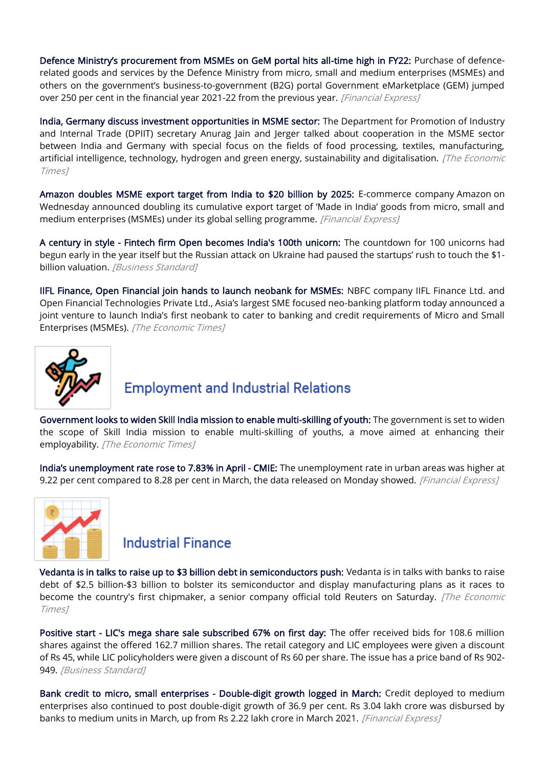[Defence Ministry's procurement from MSMEs on GeM portal hits all](https://www.financialexpress.com/industry/sme/msme-eodb-defence-ministrys-procurement-from-msmes-on-gem-portal-hits-all-time-high-in-fy22/2509390/)-time high in FY22: Purchase of defencerelated goods and services by the Defence Ministry from micro, small and medium enterprises (MSMEs) and others on the government's business-to-government (B2G) portal Government eMarketplace (GEM) jumped over 250 per cent in the financial year 2021-22 from the previous year. [Financial Express]

[India, Germany discuss investment opportunities in MSME sector:](https://economictimes.indiatimes.com/small-biz/sme-sector/india-germany-discuss-investment-opportunities-in-msme-sector/articleshow/91306301.cms) The Department for Promotion of Industry and Internal Trade (DPIIT) secretary Anurag Jain and Jerger talked about cooperation in the MSME sector between India and Germany with special focus on the fields of food processing, textiles, manufacturing, artificial intelligence, technology, hydrogen and green energy, sustainability and digitalisation. *[The Economic* Times]

[Amazon doubles MSME export target from India to \\$20 billion by 2025:](https://www.financialexpress.com/industry/sme/msme-exim-amazon-doubles-msme-export-target-from-india-to-20-billion-by-2025/2512510/) E-commerce company [Amazon](https://www.financialexpress.com/about/amazon/) on Wednesday announced doubling its cumulative export target of 'Made in India' goods from micro, small and medium enterprises (MSMEs) under its global selling programme. [Financial Express]

[A century in style - Fintech firm Open becomes India's 100th unicorn:](https://www.business-standard.com/article/companies/open-raises-series-d-funding-from-iifl-existing-investors-becomes-unicorn-122050200425_1.html) The countdown for 100 unicorns had begun early in the year itself but the Russian attack on Ukraine had paused the startups' rush to touch the \$1 billion valuation. [Business Standard]

[IIFL Finance, Open Financial join hands to launch neobank for MSMEs:](https://economictimes.indiatimes.com/small-biz/sme-sector/iifl-finance-open-financial-join-hands-to-launch-neobank-for-msmes/articleshow/91306066.cms) NBFC company IIFL Finance Ltd. and Open Financial Technologies Private Ltd., Asia's largest SME focused neo-banking platform today announced a joint venture to launch India's first neobank to cater to banking and credit requirements of Micro and Small Enterprises (MSMEs). [The Economic Times]



# **Employment and Industrial Relations**

[Government looks to widen Skill India mission to enable multi-skilling of youth:](https://economictimes.indiatimes.com/news/economy/policy/government-looks-to-widen-skill-india-mission-to-enable-multi-skilling-of-youth/articleshow/91256968.cms) The government is set to widen the scope of Skill India mission to enable multi-skilling of youths, a move aimed at enhancing their employability. [The Economic Times]

[India's unemployment rate ros](https://www.financialexpress.com/economy/indias-unemployment-rate-rose-to-7-83-in-april-cmie/2511007/)e to 7.83% in April - CMIE: The unemployment rate in urban areas was higher at 9.22 per cent compared to 8.28 per cent in March, the data released on Monday showed. [Financial Express]



#### **Industrial Finance**

[Vedanta is in talks to raise up to \\$3 billion debt in semiconductors push:](https://economictimes.indiatimes.com/industry/cons-products/electronics/vedanta-in-talks-to-raise-up-to-3-billion-debt-in-semiconductors-push/articleshow/91209963.cms) Vedanta is in talks with banks to raise debt of \$2.5 billion-\$3 billion to bolster its semiconductor and display manufacturing plans as it races to become the country's first chipmaker, a senior company official told Reuters on Saturday. [The Economic Times]

[Positive start - LIC's mega share sale subscribed 67% on first day:](https://www.business-standard.com/article/markets/positive-start-lic-s-mega-share-sale-subscribed-67-on-first-day-122050500041_1.html) The offer received bids for 108.6 million shares against the offered 162.7 million shares. The retail category and LIC employees were given a discount of Rs 45, while LIC policyholders were given a discount of Rs 60 per share. The issue has a price band of Rs 902- 949. [Business Standard]

[Bank credit to micro, small enterprises - Double-digit growth logged in March:](https://www.financialexpress.com/industry/sme/msme-fin-bank-credit-to-micro-small-enterprises-double-digit-growth-logged-in-march/2509550/) Credit deployed to medium enterprises also continued to post double-digit growth of 36.9 per cent. Rs 3.04 lakh crore was disbursed by banks to medium units in March, up from Rs 2.22 lakh crore in March 2021. [Financial Express]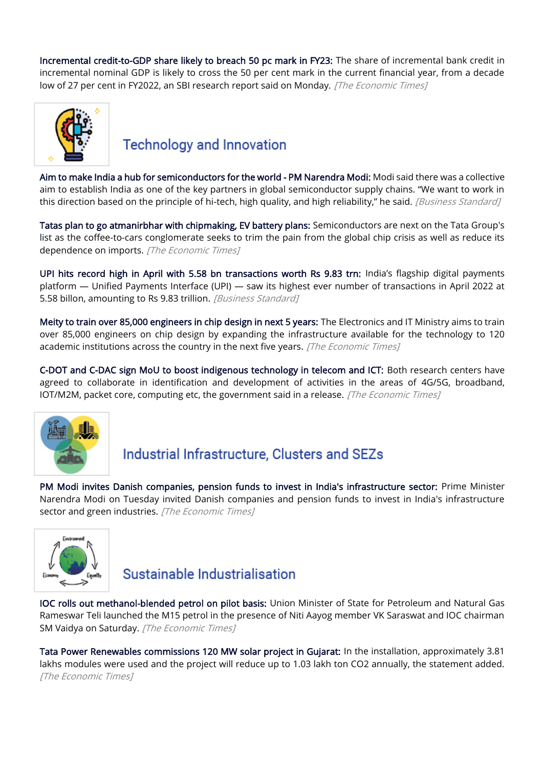[Incremental credit-to-GDP share likely to breach 50 pc mark in FY23:](https://economictimes.indiatimes.com/news/economy/indicators/incremental-credit-to-gdp-share-likely-to-breach-50-pc-mark-in-fy23-report/articleshow/91258202.cms) The share of incremental bank credit in incremental nominal GDP is likely to cross the 50 per cent mark in the current financial year, from a decade low of 27 per cent in FY2022, an SBI research report said on Monday. [The Economic Times]



### **Technology and Innovation**

[Aim to make India a hub for semiconductors for the world - PM Narendra Modi:](https://www.business-standard.com/article/economy-policy/aim-to-make-india-a-hub-for-semiconductors-for-the-world-pm-narendra-modi-122042900563_1.html) Modi said there was a collective aim to establish India as one of the key partners in global semiconductor supply chains. "We want to work in this direction based on the principle of hi-tech, high quality, and high reliability," he said. [Business Standard]

[Tatas plan to go atmanirbhar with chipmaking, EV battery plans:](https://economictimes.indiatimes.com/industry/cons-products/electronics/tatas-plan-to-go-atmanirbhar-with-chipmaking-ev-battery-plans/articleshow/91200090.cms) Semiconductors are next on the Tata Group's list as the coffee-to-cars conglomerate seeks to trim the pain from the global chip crisis as well as reduce its dependence on imports. [The Economic Times]

[UPI hits record high in April with 5.58 bn transactions worth Rs 9.83 trn:](https://www.business-standard.com/article/finance/upi-hits-record-high-in-april-with-5-58-bn-transactions-worth-rs-9-83-trn-122050100480_1.html) India's flagship digital payments platform — Unified Payments Interface (UPI) — saw its highest ever number of transactions in April 2022 at 5.58 billon, amounting to Rs 9.83 trillion. [Business Standard]

[Meity to train over 85,000 engineers in chip design in next 5 years:](https://economictimes.indiatimes.com/industry/cons-products/electronics/meity-to-train-over-85000-engineers-in-chip-design-in-next-5-years/articleshow/91321408.cms) The Electronics and IT Ministry aims to train over 85,000 engineers on chip design by expanding the infrastructure available for the technology to 120 academic institutions across the country in the next five years. [The Economic Times]

[C-DOT and C-DAC sign MoU to boost indigenous technology in telecom and ICT:](https://economictimes.indiatimes.com/industry/telecom/telecom-news/c-dot-and-c-dac-sign-mou-to-boost-indigenous-technology-in-telecom-and-ict/articleshow/91261370.cms) Both research centers have agreed to collaborate in identification and development of activities in the areas of 4G/5G, broadband, IOT/M2M, packet core, computing etc, the government said in a release. [The Economic Times]



# Industrial Infrastructure, Clusters and SEZs

[PM Modi invites Danish companies, pension funds to invest in India's infrastructure sector:](https://economictimes.indiatimes.com/news/economy/infrastructure/modi-invites-danish-companies-pension-funds-to-invest-in-indias-infrastructure-sector/articleshow/91289830.cms) Prime Minister Narendra Modi on Tuesday invited Danish companies and pension funds to invest in India's infrastructure sector and green industries. [The Economic Times]



# Sustainable Industrialisation

[IOC rolls out methanol-blended petrol on pilot basis:](https://economictimes.indiatimes.com/industry/energy/oil-gas/ioc-rolls-out-methanol-blended-petrol-on-pilot-basis/articleshow/91230220.cms) Union Minister of State for Petroleum and Natural Gas Rameswar Teli launched the M15 petrol in the presence of Niti Aayog member VK Saraswat and IOC chairman SM Vaidya on Saturday. [The Economic Times]

[Tata Power Renewables commissions 120 MW solar project in Gujarat:](https://economictimes.indiatimes.com/industry/renewables/tata-power-renewables-commissions-120-mw-solar-project-in-gujarat/articleshow/91307062.cms) In the installation, approximately 3.81 lakhs modules were used and the project will reduce up to 1.03 lakh ton CO2 annually, the statement added. [The Economic Times]